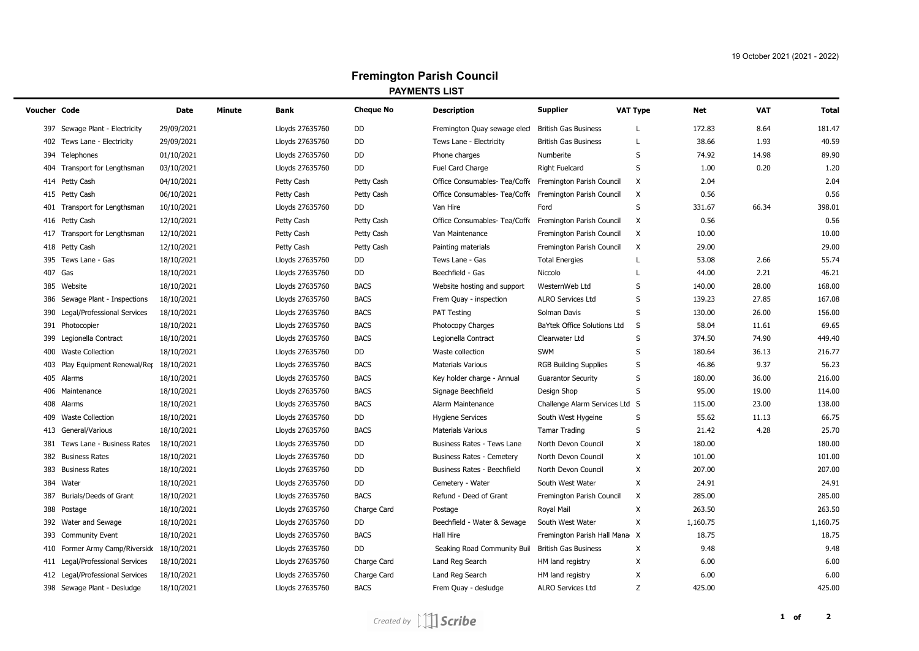## **Fremington Parish Council PAYMENTS LIST**

| Voucher Code |                                           | Date       | Minute | Bank            | <b>Cheque No</b> | <b>Description</b>                               | <b>Supplier</b>                | <b>VAT Type</b> | Net      | <b>VAT</b><br><b>Total</b> |
|--------------|-------------------------------------------|------------|--------|-----------------|------------------|--------------------------------------------------|--------------------------------|-----------------|----------|----------------------------|
|              | 397 Sewage Plant - Electricity            | 29/09/2021 |        | Lloyds 27635760 | DD               | Fremington Quay sewage elect                     | British Gas Business           | L               | 172.83   | 8.64<br>181.47             |
|              | 402 Tews Lane - Electricity               | 29/09/2021 |        | Lloyds 27635760 | DD               | Tews Lane - Electricity                          | <b>British Gas Business</b>    | L               | 38.66    | 40.59<br>1.93              |
|              | 394 Telephones                            | 01/10/2021 |        | Lloyds 27635760 | DD               | Phone charges                                    | Numberite                      | S               | 74.92    | 89.90<br>14.98             |
|              | 404 Transport for Lengthsman              | 03/10/2021 |        | Lloyds 27635760 | DD               | Fuel Card Charge                                 | <b>Right Fuelcard</b>          | S               | 1.00     | 0.20<br>1.20               |
|              | 414 Petty Cash                            | 04/10/2021 |        | Petty Cash      | Petty Cash       | Office Consumables- Tea/Coffe                    | Fremington Parish Council      | Χ               | 2.04     | 2.04                       |
|              | 415 Petty Cash                            | 06/10/2021 |        | Petty Cash      | Petty Cash       | Office Consumables- Tea/Coffe                    | Fremington Parish Council      | Х               | 0.56     | 0.56                       |
|              | 401 Transport for Lengthsman              | 10/10/2021 |        | Lloyds 27635760 | DD               | Van Hire                                         | Ford                           | S               | 331.67   | 398.01<br>66.34            |
|              | 416 Petty Cash                            | 12/10/2021 |        | Petty Cash      | Petty Cash       | Office Consumables- Tea/Coffe                    | Fremington Parish Council      | X               | 0.56     | 0.56                       |
|              | 417 Transport for Lengthsman              | 12/10/2021 |        | Petty Cash      | Petty Cash       | Van Maintenance                                  | Fremington Parish Council      | Х               | 10.00    | 10.00                      |
|              | 418 Petty Cash                            | 12/10/2021 |        | Petty Cash      | Petty Cash       | Painting materials                               | Fremington Parish Council      | X               | 29.00    | 29.00                      |
|              | 395 Tews Lane - Gas                       | 18/10/2021 |        | Lloyds 27635760 | DD               | Tews Lane - Gas                                  | <b>Total Energies</b>          | L               | 53.08    | 55.74<br>2.66              |
|              | 407 Gas                                   | 18/10/2021 |        | Lloyds 27635760 | <b>DD</b>        | Beechfield - Gas                                 | Niccolo                        | L               | 44.00    | 2.21<br>46.21              |
|              | 385 Website                               | 18/10/2021 |        | Lloyds 27635760 | <b>BACS</b>      | Website hosting and support                      | WesternWeb Ltd                 | S               | 140.00   | 28.00<br>168.00            |
|              | 386 Sewage Plant - Inspections            | 18/10/2021 |        | Lloyds 27635760 | <b>BACS</b>      | Frem Quay - inspection                           | <b>ALRO Services Ltd</b>       | S               | 139.23   | 27.85<br>167.08            |
|              | 390 Legal/Professional Services           | 18/10/2021 |        | Lloyds 27635760 | <b>BACS</b>      | PAT Testing                                      | Solman Davis                   | S               | 130.00   | 156.00<br>26.00            |
|              | 391 Photocopier                           | 18/10/2021 |        | Lloyds 27635760 | <b>BACS</b>      | Photocopy Charges                                | BaYtek Office Solutions Ltd    | S               | 58.04    | 69.65<br>11.61             |
|              | 399 Legionella Contract                   | 18/10/2021 |        | Lloyds 27635760 | <b>BACS</b>      | Legionella Contract                              | Clearwater Ltd                 | S               | 374.50   | 449.40<br>74.90            |
|              | 400 Waste Collection                      | 18/10/2021 |        | Lloyds 27635760 | DD               | Waste collection                                 | <b>SWM</b>                     | S               | 180.64   | 36.13<br>216.77            |
|              | 403 Play Equipment Renewal/Rer 18/10/2021 |            |        | Lloyds 27635760 | <b>BACS</b>      | <b>Materials Various</b>                         | <b>RGB Building Supplies</b>   | S               | 46.86    | 56.23<br>9.37              |
|              | 405 Alarms                                | 18/10/2021 |        | Lloyds 27635760 | <b>BACS</b>      | Key holder charge - Annual                       | <b>Guarantor Security</b>      | S               | 180.00   | 36.00<br>216.00            |
|              | 406 Maintenance                           | 18/10/2021 |        | Lloyds 27635760 | <b>BACS</b>      | Signage Beechfield                               | Design Shop                    | S               | 95.00    | 19.00<br>114.00            |
|              | 408 Alarms                                | 18/10/2021 |        | Lloyds 27635760 | <b>BACS</b>      | Alarm Maintenance                                | Challenge Alarm Services Ltd S |                 | 115.00   | 138.00<br>23.00            |
|              | 409 Waste Collection                      | 18/10/2021 |        | Lloyds 27635760 | DD               | <b>Hygiene Services</b>                          | South West Hygeine             | S               | 55.62    | 66.75<br>11.13             |
|              | 413 General/Various                       | 18/10/2021 |        | Lloyds 27635760 | <b>BACS</b>      | <b>Materials Various</b>                         | <b>Tamar Trading</b>           | S               | 21.42    | 25.70<br>4.28              |
|              | 381 Tews Lane - Business Rates            | 18/10/2021 |        | Lloyds 27635760 | DD               | Business Rates - Tews Lane                       | North Devon Council            | X               | 180.00   | 180.00                     |
|              | 382 Business Rates                        | 18/10/2021 |        | Lloyds 27635760 | DD               | Business Rates - Cemetery                        | North Devon Council            | X               | 101.00   | 101.00                     |
|              | 383 Business Rates                        | 18/10/2021 |        | Lloyds 27635760 | DD               | Business Rates - Beechfield                      | North Devon Council            | X               | 207.00   | 207.00                     |
|              | 384 Water                                 | 18/10/2021 |        | Lloyds 27635760 | DD               | Cemetery - Water                                 | South West Water               | X               | 24.91    | 24.91                      |
|              | 387 Burials/Deeds of Grant                | 18/10/2021 |        | Lloyds 27635760 | <b>BACS</b>      | Refund - Deed of Grant                           | Fremington Parish Council      | X               | 285.00   | 285.00                     |
|              | 388 Postage                               | 18/10/2021 |        | Lloyds 27635760 | Charge Card      | Postage                                          | Royal Mail                     | X               | 263.50   | 263.50                     |
|              | 392 Water and Sewage                      | 18/10/2021 |        | Lloyds 27635760 | DD               | Beechfield - Water & Sewage                      | South West Water               | X               | 1,160.75 | 1,160.75                   |
|              | 393 Community Event                       | 18/10/2021 |        | Lloyds 27635760 | <b>BACS</b>      | Hall Hire                                        | Fremington Parish Hall Mana X  |                 | 18.75    | 18.75                      |
|              | 410 Former Army Camp/Riverside 18/10/2021 |            |        | Lloyds 27635760 | DD               | Seaking Road Community Buil British Gas Business |                                | X               | 9.48     | 9.48                       |
|              | 411 Legal/Professional Services           | 18/10/2021 |        | Lloyds 27635760 | Charge Card      | Land Reg Search                                  | HM land registry               | X               | 6.00     | 6.00                       |
|              | 412 Legal/Professional Services           | 18/10/2021 |        | Lloyds 27635760 | Charge Card      | Land Reg Search                                  | HM land registry               | X               | 6.00     | 6.00                       |
|              | 398 Sewage Plant - Desludge               | 18/10/2021 |        | Lloyds 27635760 | <b>BACS</b>      | Frem Quay - desludge                             | <b>ALRO Services Ltd</b>       | Z               | 425.00   | 425.00                     |